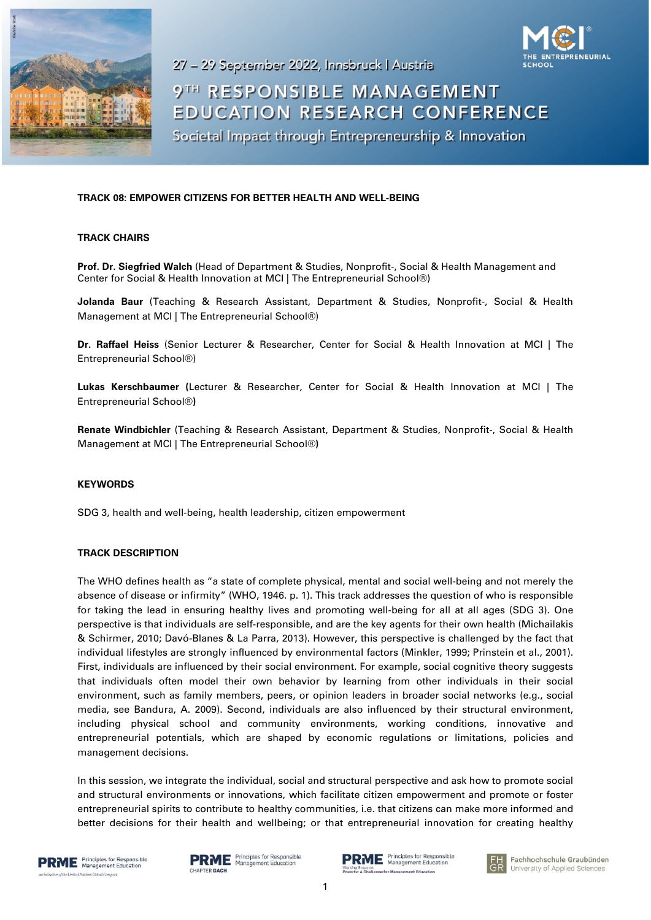

27 - 29 September 2022, Innsbruck | Austria



# 9TH RESPONSIBLE MANAGEMENT **EDUCATION RESEARCH CONFERENCE**

Societal Impact through Entrepreneurship & Innovation

## **TRACK 08: EMPOWER CITIZENS FOR BETTER HEALTH AND WELL-BEING**

### **TRACK CHAIRS**

**Prof. Dr. Siegfried Walch** (Head of Department & Studies, Nonprofit-, Social & Health Management and Center for Social & Health Innovation at MCI | The Entrepreneurial School®)

**Jolanda Baur** (Teaching & Research Assistant, Department & Studies, Nonprofit-, Social & Health Management at MCI | The Entrepreneurial School®)

**Dr. Raffael Heiss** (Senior Lecturer & Researcher, Center for Social & Health Innovation at MCI | The Entrepreneurial School®)

**Lukas Kerschbaumer (**Lecturer & Researcher, Center for Social & Health Innovation at MCI | The Entrepreneurial School®**)**

**Renate Windbichler** (Teaching & Research Assistant, Department & Studies, Nonprofit-, Social & Health Management at MCI | The Entrepreneurial School®**)**

#### **KEYWORDS**

SDG 3, health and well-being, health leadership, citizen empowerment

## **TRACK DESCRIPTION**

The WHO defines health as "a state of complete physical, mental and social well-being and not merely the absence of disease or infirmity" (WHO, 1946. p. 1). This track addresses the question of who is responsible for taking the lead in ensuring healthy lives and promoting well-being for all at all ages (SDG 3). One perspective is that individuals are self-responsible, and are the key agents for their own health (Michailakis & Schirmer, 2010; Davó-Blanes & La Parra, 2013). However, this perspective is challenged by the fact that individual lifestyles are strongly influenced by environmental factors (Minkler, 1999; Prinstein et al., 2001). First, individuals are influenced by their social environment. For example, social cognitive theory suggests that individuals often model their own behavior by learning from other individuals in their social environment, such as family members, peers, or opinion leaders in broader social networks (e.g., social media, see Bandura, A. 2009). Second, individuals are also influenced by their structural environment, including physical school and community environments, working conditions, innovative and entrepreneurial potentials, which are shaped by economic regulations or limitations, policies and management decisions.

In this session, we integrate the individual, social and structural perspective and ask how to promote social and structural environments or innovations, which facilitate citizen empowerment and promote or foster entrepreneurial spirits to contribute to healthy communities, i.e. that citizens can make more informed and better decisions for their health and wellbeing; or that entrepreneurial innovation for creating healthy





 $\mathbf{R}\mathbf{M}\mathbf{E}$  Principles for Responsible<br> $\mathbf{S}$  Management Education